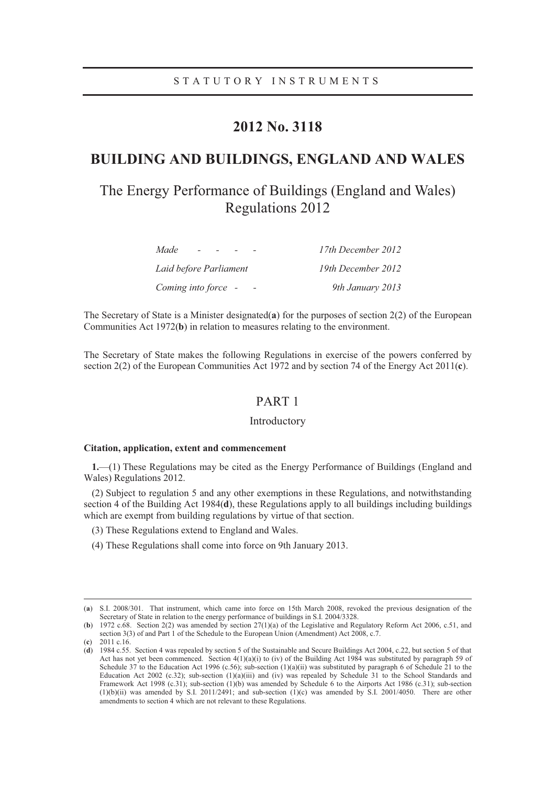# **2012 No. 3118**

# **BUILDING AND BUILDINGS, ENGLAND AND WALES**

# The Energy Performance of Buildings (England and Wales) Regulations 2012

| Made<br>$\overline{\phantom{0}}$ | 17th December 2012 |
|----------------------------------|--------------------|
| Laid before Parliament           | 19th December 2012 |
| Coming into force -              | 9th January 2013   |

The Secretary of State is a Minister designated(**a**) for the purposes of section 2(2) of the European Communities Act 1972(**b**) in relation to measures relating to the environment.

The Secretary of State makes the following Regulations in exercise of the powers conferred by section 2(2) of the European Communities Act 1972 and by section 74 of the Energy Act 2011(**c**).

# PART 1

### Introductory

### **Citation, application, extent and commencement**

**1.**—(1) These Regulations may be cited as the Energy Performance of Buildings (England and Wales) Regulations 2012.

(2) Subject to regulation 5 and any other exemptions in these Regulations, and notwithstanding section 4 of the Building Act 1984(**d**), these Regulations apply to all buildings including buildings which are exempt from building regulations by virtue of that section.

- (3) These Regulations extend to England and Wales.
- (4) These Regulations shall come into force on 9th January 2013.

 <sup>(</sup>**a**) S.I. 2008/301. That instrument, which came into force on 15th March 2008, revoked the previous designation of the Secretary of State in relation to the energy performance of buildings in S.I. 2004/3328.

<sup>(</sup>**b**) 1972 c.68. Section 2(2) was amended by section 27(1)(a) of the Legislative and Regulatory Reform Act 2006, c.51, and section 3(3) of and Part 1 of the Schedule to the European Union (Amendment) Act 2008, c.7.

<sup>(</sup>**c**) 2011 c.16.

<sup>(</sup>**d**) 1984 c.55. Section 4 was repealed by section 5 of the Sustainable and Secure Buildings Act 2004, c.22, but section 5 of that Act has not yet been commenced. Section  $4(1)(a)(i)$  to (iv) of the Building Act 1984 was substituted by paragraph 59 of Schedule 37 to the Education Act 1996 (c.56); sub-section  $(1)(a)(ii)$  was substituted by paragraph 6 of Schedule 21 to the Education Act 2002 (c.32); sub-section  $(1)(a)(iii)$  and (iv) was repealed by Schedule 31 to the School Standards and Framework Act 1998 (c.31); sub-section (1)(b) was amended by Schedule 6 to the Airports Act 1986 (c.31); sub-section  $(1)(b)(ii)$  was amended by S.I. 2011/2491; and sub-section  $(1)(c)$  was amended by S.I. 2001/4050. There are other amendments to section 4 which are not relevant to these Regulations.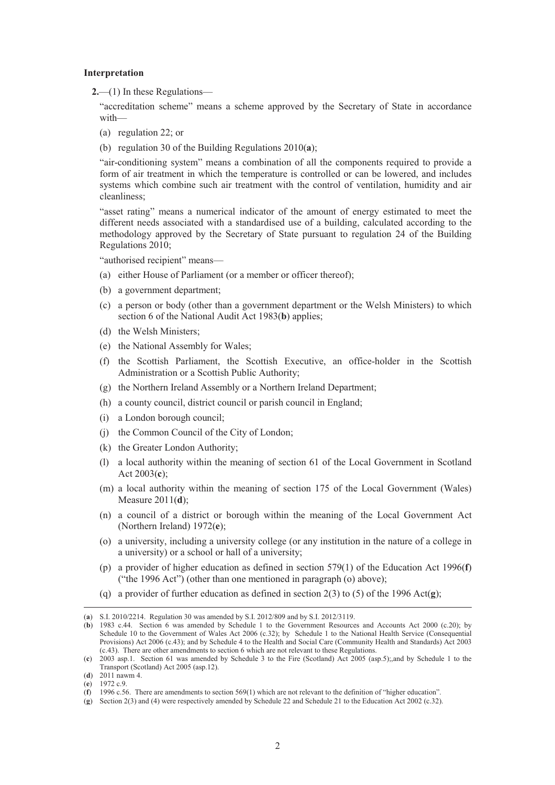#### **Interpretation**

**2.**—(1) In these Regulations—

"accreditation scheme" means a scheme approved by the Secretary of State in accordance with—

- (a) regulation 22; or
- (b) regulation 30 of the Building Regulations 2010(**a**);

"air-conditioning system" means a combination of all the components required to provide a form of air treatment in which the temperature is controlled or can be lowered, and includes systems which combine such air treatment with the control of ventilation, humidity and air cleanliness;

"asset rating" means a numerical indicator of the amount of energy estimated to meet the different needs associated with a standardised use of a building, calculated according to the methodology approved by the Secretary of State pursuant to regulation 24 of the Building Regulations 2010;

"authorised recipient" means—

- (a) either House of Parliament (or a member or officer thereof);
- (b) a government department;
- (c) a person or body (other than a government department or the Welsh Ministers) to which section 6 of the National Audit Act 1983(**b**) applies;
- (d) the Welsh Ministers;
- (e) the National Assembly for Wales;
- (f) the Scottish Parliament, the Scottish Executive, an office-holder in the Scottish Administration or a Scottish Public Authority;
- (g) the Northern Ireland Assembly or a Northern Ireland Department;
- (h) a county council, district council or parish council in England;
- (i) a London borough council;
- (j) the Common Council of the City of London;
- (k) the Greater London Authority;
- (l) a local authority within the meaning of section 61 of the Local Government in Scotland Act 2003(**c**);
- (m) a local authority within the meaning of section 175 of the Local Government (Wales) Measure 2011(**d**);
- (n) a council of a district or borough within the meaning of the Local Government Act (Northern Ireland) 1972(**e**);
- (o) a university, including a university college (or any institution in the nature of a college in a university) or a school or hall of a university;
- (p) a provider of higher education as defined in section 579(1) of the Education Act 1996(**f**) ("the 1996 Act") (other than one mentioned in paragraph (o) above);
- (q) a provider of further education as defined in section 2(3) to (5) of the 1996 Act(**g**);

 <sup>(</sup>**a**) S.I. 2010/2214. Regulation 30 was amended by S.I. 2012/809 and by S.I. 2012/3119.

<sup>(</sup>**b**) 1983 c.44. Section 6 was amended by Schedule 1 to the Government Resources and Accounts Act 2000 (c.20); by Schedule 10 to the Government of Wales Act 2006 (c.32); by Schedule 1 to the National Health Service (Consequential Provisions) Act 2006 (c.43); and by Schedule 4 to the Health and Social Care (Community Health and Standards) Act 2003 (c.43). There are other amendments to section 6 which are not relevant to these Regulations.

<sup>(</sup>**c**) 2003 asp.1. Section 61 was amended by Schedule 3 to the Fire (Scotland) Act 2005 (asp.5);,and by Schedule 1 to the Transport (Scotland) Act 2005 (asp.12).

<sup>(</sup>**d**) 2011 nawm 4.

<sup>(</sup>**e**) 1972 c.9.

<sup>(</sup>**f**) 1996 c.56. There are amendments to section 569(1) which are not relevant to the definition of "higher education".

<sup>(</sup>**g**) Section 2(3) and (4) were respectively amended by Schedule 22 and Schedule 21 to the Education Act 2002 (c.32).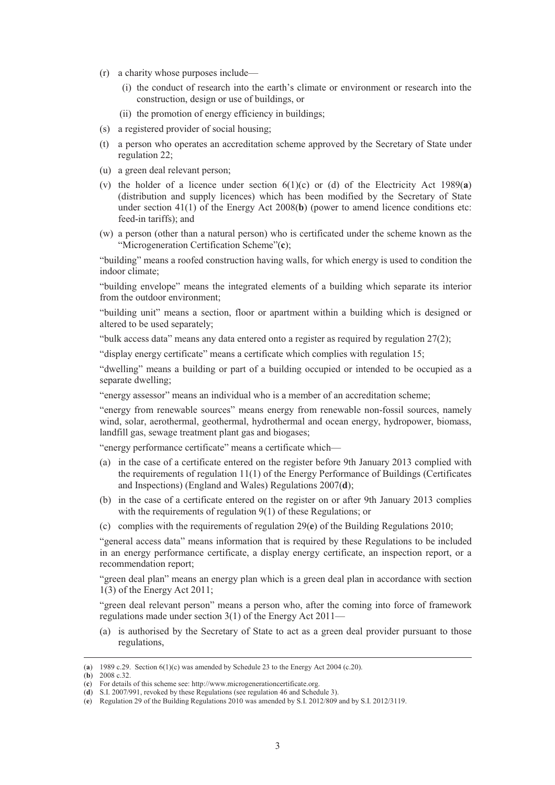- (r) a charity whose purposes include—
	- (i) the conduct of research into the earth's climate or environment or research into the construction, design or use of buildings, or
	- (ii) the promotion of energy efficiency in buildings;
- (s) a registered provider of social housing;
- (t) a person who operates an accreditation scheme approved by the Secretary of State under regulation 22;
- (u) a green deal relevant person;
- (v) the holder of a licence under section  $6(1)(c)$  or (d) of the Electricity Act 1989(a) (distribution and supply licences) which has been modified by the Secretary of State under section 41(1) of the Energy Act 2008(**b**) (power to amend licence conditions etc: feed-in tariffs); and
- (w) a person (other than a natural person) who is certificated under the scheme known as the "Microgeneration Certification Scheme"(**c**);

"building" means a roofed construction having walls, for which energy is used to condition the indoor climate;

"building envelope" means the integrated elements of a building which separate its interior from the outdoor environment;

"building unit" means a section, floor or apartment within a building which is designed or altered to be used separately;

"bulk access data" means any data entered onto a register as required by regulation 27(2);

"display energy certificate" means a certificate which complies with regulation 15;

"dwelling" means a building or part of a building occupied or intended to be occupied as a separate dwelling;

"energy assessor" means an individual who is a member of an accreditation scheme;

"energy from renewable sources" means energy from renewable non-fossil sources, namely wind, solar, aerothermal, geothermal, hydrothermal and ocean energy, hydropower, biomass, landfill gas, sewage treatment plant gas and biogases;

"energy performance certificate" means a certificate which—

- (a) in the case of a certificate entered on the register before 9th January 2013 complied with the requirements of regulation 11(1) of the Energy Performance of Buildings (Certificates and Inspections) (England and Wales) Regulations 2007(**d**);
- (b) in the case of a certificate entered on the register on or after 9th January 2013 complies with the requirements of regulation 9(1) of these Regulations; or
- (c) complies with the requirements of regulation 29(**e**) of the Building Regulations 2010;

"general access data" means information that is required by these Regulations to be included in an energy performance certificate, a display energy certificate, an inspection report, or a recommendation report;

"green deal plan" means an energy plan which is a green deal plan in accordance with section 1(3) of the Energy Act 2011;

"green deal relevant person" means a person who, after the coming into force of framework regulations made under section 3(1) of the Energy Act 2011—

(a) is authorised by the Secretary of State to act as a green deal provider pursuant to those regulations,

 <sup>(</sup>**a**) 1989 c.29. Section 6(1)(c) was amended by Schedule 23 to the Energy Act 2004 (c.20).

<sup>(</sup>**b**) 2008 c.32.

<sup>(</sup>**c**) For details of this scheme see: http://www.microgenerationcertificate.org.

<sup>(</sup>**d**) S.I. 2007/991, revoked by these Regulations (see regulation 46 and Schedule 3).

<sup>(</sup>**e**) Regulation 29 of the Building Regulations 2010 was amended by S.I. 2012/809 and by S.I. 2012/3119.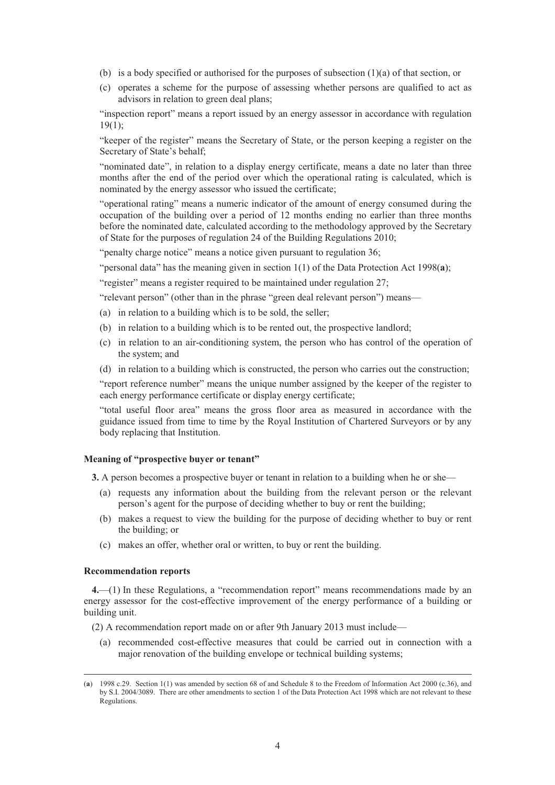- (b) is a body specified or authorised for the purposes of subsection  $(1)(a)$  of that section, or
- (c) operates a scheme for the purpose of assessing whether persons are qualified to act as advisors in relation to green deal plans;

"inspection report" means a report issued by an energy assessor in accordance with regulation  $19(1);$ 

"keeper of the register" means the Secretary of State, or the person keeping a register on the Secretary of State's behalf;

"nominated date", in relation to a display energy certificate, means a date no later than three months after the end of the period over which the operational rating is calculated, which is nominated by the energy assessor who issued the certificate;

"operational rating" means a numeric indicator of the amount of energy consumed during the occupation of the building over a period of 12 months ending no earlier than three months before the nominated date, calculated according to the methodology approved by the Secretary of State for the purposes of regulation 24 of the Building Regulations 2010;

"penalty charge notice" means a notice given pursuant to regulation 36;

"personal data" has the meaning given in section 1(1) of the Data Protection Act 1998(**a**);

"register" means a register required to be maintained under regulation 27;

"relevant person" (other than in the phrase "green deal relevant person") means—

- (a) in relation to a building which is to be sold, the seller;
- (b) in relation to a building which is to be rented out, the prospective landlord;
- (c) in relation to an air-conditioning system, the person who has control of the operation of the system; and
- (d) in relation to a building which is constructed, the person who carries out the construction;

"report reference number" means the unique number assigned by the keeper of the register to each energy performance certificate or display energy certificate;

"total useful floor area" means the gross floor area as measured in accordance with the guidance issued from time to time by the Royal Institution of Chartered Surveyors or by any body replacing that Institution.

#### **Meaning of "prospective buyer or tenant"**

**3.** A person becomes a prospective buyer or tenant in relation to a building when he or she—

- (a) requests any information about the building from the relevant person or the relevant person's agent for the purpose of deciding whether to buy or rent the building;
- (b) makes a request to view the building for the purpose of deciding whether to buy or rent the building; or
- (c) makes an offer, whether oral or written, to buy or rent the building.

#### **Recommendation reports**

**4.**—(1) In these Regulations, a "recommendation report" means recommendations made by an energy assessor for the cost-effective improvement of the energy performance of a building or building unit.

(2) A recommendation report made on or after 9th January 2013 must include—

(a) recommended cost-effective measures that could be carried out in connection with a major renovation of the building envelope or technical building systems;

 <sup>(</sup>**a**) 1998 c.29. Section 1(1) was amended by section 68 of and Schedule 8 to the Freedom of Information Act 2000 (c.36), and by S.I. 2004/3089. There are other amendments to section 1 of the Data Protection Act 1998 which are not relevant to these Regulations.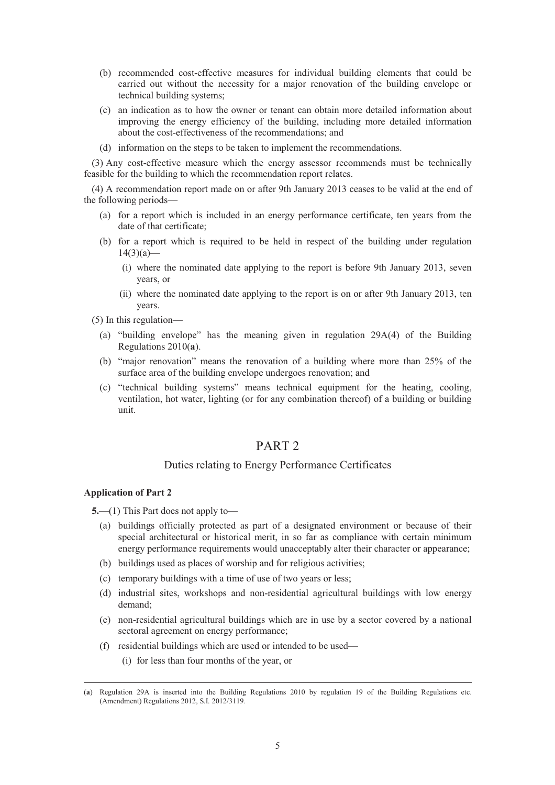- (b) recommended cost-effective measures for individual building elements that could be carried out without the necessity for a major renovation of the building envelope or technical building systems;
- (c) an indication as to how the owner or tenant can obtain more detailed information about improving the energy efficiency of the building, including more detailed information about the cost-effectiveness of the recommendations; and
- (d) information on the steps to be taken to implement the recommendations.

(3) Any cost-effective measure which the energy assessor recommends must be technically feasible for the building to which the recommendation report relates.

(4) A recommendation report made on or after 9th January 2013 ceases to be valid at the end of the following periods—

- (a) for a report which is included in an energy performance certificate, ten years from the date of that certificate;
- (b) for a report which is required to be held in respect of the building under regulation  $14(3)(a)$ —
	- (i) where the nominated date applying to the report is before 9th January 2013, seven years, or
	- (ii) where the nominated date applying to the report is on or after 9th January 2013, ten years.
- (5) In this regulation—
	- (a) "building envelope" has the meaning given in regulation 29A(4) of the Building Regulations 2010(**a**).
	- (b) "major renovation" means the renovation of a building where more than 25% of the surface area of the building envelope undergoes renovation; and
	- (c) "technical building systems" means technical equipment for the heating, cooling, ventilation, hot water, lighting (or for any combination thereof) of a building or building unit.

# PART<sub>2</sub>

## Duties relating to Energy Performance Certificates

### **Application of Part 2**

**5.**—(1) This Part does not apply to—

- (a) buildings officially protected as part of a designated environment or because of their special architectural or historical merit, in so far as compliance with certain minimum energy performance requirements would unacceptably alter their character or appearance;
- (b) buildings used as places of worship and for religious activities;
- (c) temporary buildings with a time of use of two years or less;
- (d) industrial sites, workshops and non-residential agricultural buildings with low energy demand;
- (e) non-residential agricultural buildings which are in use by a sector covered by a national sectoral agreement on energy performance;
- (f) residential buildings which are used or intended to be used—
	- (i) for less than four months of the year, or

 <sup>(</sup>**a**) Regulation 29A is inserted into the Building Regulations 2010 by regulation 19 of the Building Regulations etc. (Amendment) Regulations 2012, S.I. 2012/3119.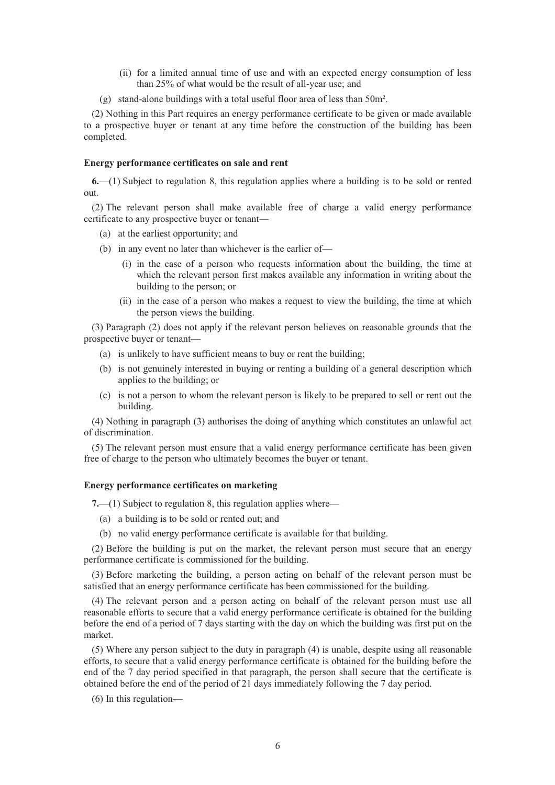- (ii) for a limited annual time of use and with an expected energy consumption of less than 25% of what would be the result of all-year use; and
- (g) stand-alone buildings with a total useful floor area of less than 50m².

(2) Nothing in this Part requires an energy performance certificate to be given or made available to a prospective buyer or tenant at any time before the construction of the building has been completed.

#### **Energy performance certificates on sale and rent**

**6.**—(1) Subject to regulation 8, this regulation applies where a building is to be sold or rented out.

(2) The relevant person shall make available free of charge a valid energy performance certificate to any prospective buyer or tenant—

- (a) at the earliest opportunity; and
- (b) in any event no later than whichever is the earlier of—
	- (i) in the case of a person who requests information about the building, the time at which the relevant person first makes available any information in writing about the building to the person; or
	- (ii) in the case of a person who makes a request to view the building, the time at which the person views the building.

(3) Paragraph (2) does not apply if the relevant person believes on reasonable grounds that the prospective buyer or tenant—

- (a) is unlikely to have sufficient means to buy or rent the building;
- (b) is not genuinely interested in buying or renting a building of a general description which applies to the building; or
- (c) is not a person to whom the relevant person is likely to be prepared to sell or rent out the building.

(4) Nothing in paragraph (3) authorises the doing of anything which constitutes an unlawful act of discrimination.

(5) The relevant person must ensure that a valid energy performance certificate has been given free of charge to the person who ultimately becomes the buyer or tenant.

#### **Energy performance certificates on marketing**

**7.**—(1) Subject to regulation 8, this regulation applies where—

- (a) a building is to be sold or rented out; and
- (b) no valid energy performance certificate is available for that building.

(2) Before the building is put on the market, the relevant person must secure that an energy performance certificate is commissioned for the building.

(3) Before marketing the building, a person acting on behalf of the relevant person must be satisfied that an energy performance certificate has been commissioned for the building.

(4) The relevant person and a person acting on behalf of the relevant person must use all reasonable efforts to secure that a valid energy performance certificate is obtained for the building before the end of a period of 7 days starting with the day on which the building was first put on the market.

(5) Where any person subject to the duty in paragraph (4) is unable, despite using all reasonable efforts, to secure that a valid energy performance certificate is obtained for the building before the end of the 7 day period specified in that paragraph, the person shall secure that the certificate is obtained before the end of the period of 21 days immediately following the 7 day period.

(6) In this regulation—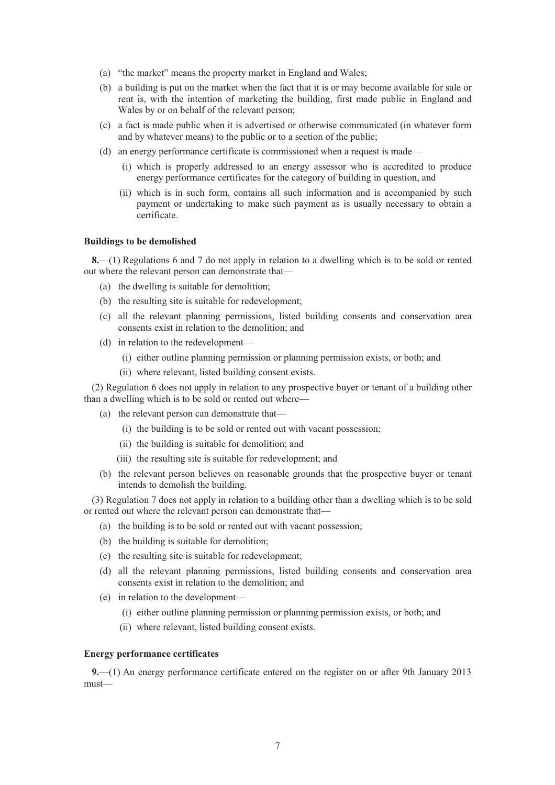- (a) "the market" means the property market in England and Wales;
- (b) a building is put on the market when the fact that it is or may become available for sale or rent is, with the intention of marketing the building, first made public in England and Wales by or on behalf of the relevant person;
- (c) a fact is made public when it is advertised or otherwise communicated (in whatever form and by whatever means) to the public or to a section of the public;
- (d) an energy performance certificate is commissioned when a request is made—
	- (i) which is properly addressed to an energy assessor who is accredited to produce energy performance certificates for the category of building in question, and
	- (ii) which is in such form, contains all such information and is accompanied by such payment or undertaking to make such payment as is usually necessary to obtain a certificate.

#### **Buildings to be demolished**

**8.**—(1) Regulations 6 and 7 do not apply in relation to a dwelling which is to be sold or rented out where the relevant person can demonstrate that—

- (a) the dwelling is suitable for demolition;
- (b) the resulting site is suitable for redevelopment;
- (c) all the relevant planning permissions, listed building consents and conservation area consents exist in relation to the demolition; and
- (d) in relation to the redevelopment—
	- (i) either outline planning permission or planning permission exists, or both; and
	- (ii) where relevant, listed building consent exists.

(2) Regulation 6 does not apply in relation to any prospective buyer or tenant of a building other than a dwelling which is to be sold or rented out where—

- (a) the relevant person can demonstrate that—
	- (i) the building is to be sold or rented out with vacant possession;
	- (ii) the building is suitable for demolition; and
	- (iii) the resulting site is suitable for redevelopment; and
- (b) the relevant person believes on reasonable grounds that the prospective buyer or tenant intends to demolish the building.

(3) Regulation 7 does not apply in relation to a building other than a dwelling which is to be sold or rented out where the relevant person can demonstrate that—

- (a) the building is to be sold or rented out with vacant possession;
- (b) the building is suitable for demolition;
- (c) the resulting site is suitable for redevelopment;
- (d) all the relevant planning permissions, listed building consents and conservation area consents exist in relation to the demolition; and
- (e) in relation to the development—
	- (i) either outline planning permission or planning permission exists, or both; and
	- (ii) where relevant, listed building consent exists.

#### **Energy performance certificates**

**9.**—(1) An energy performance certificate entered on the register on or after 9th January 2013 must—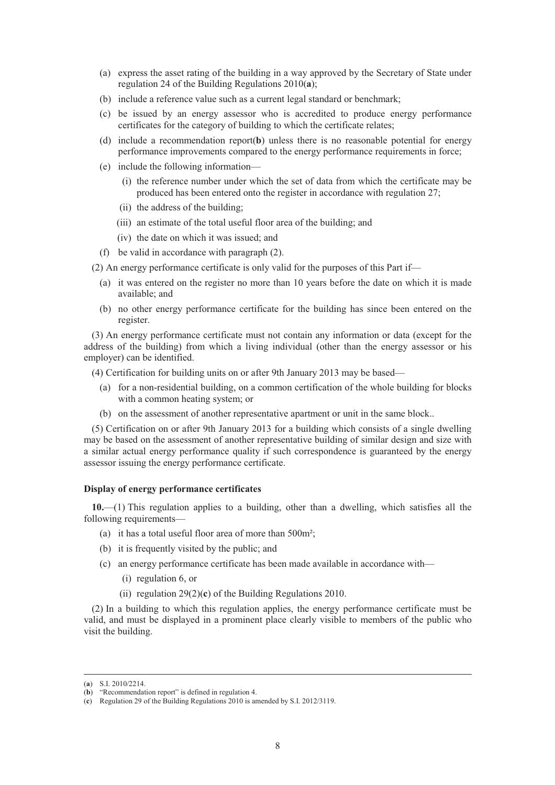- (a) express the asset rating of the building in a way approved by the Secretary of State under regulation 24 of the Building Regulations 2010(**a**);
- (b) include a reference value such as a current legal standard or benchmark;
- (c) be issued by an energy assessor who is accredited to produce energy performance certificates for the category of building to which the certificate relates;
- (d) include a recommendation report(**b**) unless there is no reasonable potential for energy performance improvements compared to the energy performance requirements in force;
- (e) include the following information—
	- (i) the reference number under which the set of data from which the certificate may be produced has been entered onto the register in accordance with regulation 27;
	- (ii) the address of the building;
	- (iii) an estimate of the total useful floor area of the building; and
	- (iv) the date on which it was issued; and
- (f) be valid in accordance with paragraph (2).

(2) An energy performance certificate is only valid for the purposes of this Part if—

- (a) it was entered on the register no more than 10 years before the date on which it is made available; and
- (b) no other energy performance certificate for the building has since been entered on the register.

(3) An energy performance certificate must not contain any information or data (except for the address of the building) from which a living individual (other than the energy assessor or his employer) can be identified.

(4) Certification for building units on or after 9th January 2013 may be based—

- (a) for a non-residential building, on a common certification of the whole building for blocks with a common heating system; or
- (b) on the assessment of another representative apartment or unit in the same block..

(5) Certification on or after 9th January 2013 for a building which consists of a single dwelling may be based on the assessment of another representative building of similar design and size with a similar actual energy performance quality if such correspondence is guaranteed by the energy assessor issuing the energy performance certificate.

#### **Display of energy performance certificates**

**10.**—(1) This regulation applies to a building, other than a dwelling, which satisfies all the following requirements—

- (a) it has a total useful floor area of more than 500m²;
- (b) it is frequently visited by the public; and
- (c) an energy performance certificate has been made available in accordance with—
	- (i) regulation 6, or
	- (ii) regulation 29(2)(**c**) of the Building Regulations 2010.

(2) In a building to which this regulation applies, the energy performance certificate must be valid, and must be displayed in a prominent place clearly visible to members of the public who visit the building.

 <sup>(</sup>**a**) S.I. 2010/2214.

<sup>(</sup>**b**) "Recommendation report" is defined in regulation 4.

<sup>(</sup>**c**) Regulation 29 of the Building Regulations 2010 is amended by S.I. 2012/3119.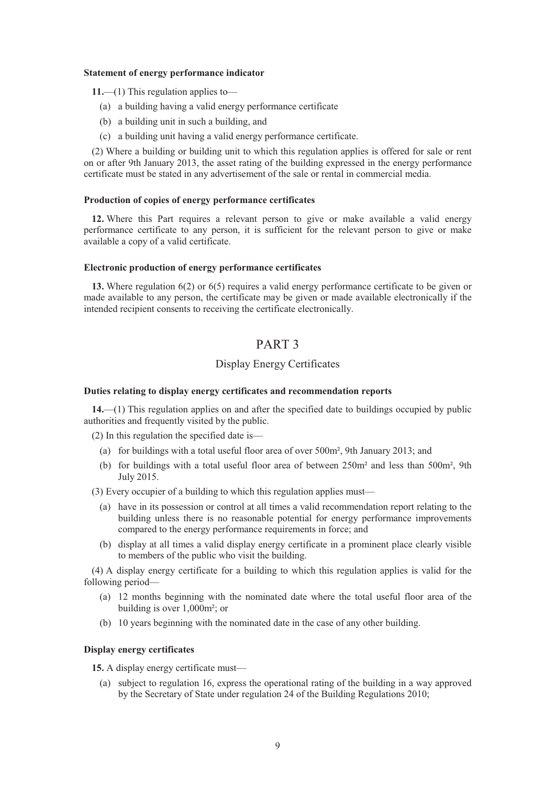#### **Statement of energy performance indicator**

**11.**—(1) This regulation applies to—

- (a) a building having a valid energy performance certificate
- (b) a building unit in such a building, and
- (c) a building unit having a valid energy performance certificate.

(2) Where a building or building unit to which this regulation applies is offered for sale or rent on or after 9th January 2013, the asset rating of the building expressed in the energy performance certificate must be stated in any advertisement of the sale or rental in commercial media.

#### **Production of copies of energy performance certificates**

**12.** Where this Part requires a relevant person to give or make available a valid energy performance certificate to any person, it is sufficient for the relevant person to give or make available a copy of a valid certificate.

#### **Electronic production of energy performance certificates**

**13.** Where regulation 6(2) or 6(5) requires a valid energy performance certificate to be given or made available to any person, the certificate may be given or made available electronically if the intended recipient consents to receiving the certificate electronically.

# PART 3

# Display Energy Certificates

## **Duties relating to display energy certificates and recommendation reports**

**14.**—(1) This regulation applies on and after the specified date to buildings occupied by public authorities and frequently visited by the public.

(2) In this regulation the specified date is—

- (a) for buildings with a total useful floor area of over 500m², 9th January 2013; and
- (b) for buildings with a total useful floor area of between 250m² and less than 500m², 9th July 2015.

(3) Every occupier of a building to which this regulation applies must—

- (a) have in its possession or control at all times a valid recommendation report relating to the building unless there is no reasonable potential for energy performance improvements compared to the energy performance requirements in force; and
- (b) display at all times a valid display energy certificate in a prominent place clearly visible to members of the public who visit the building.

(4) A display energy certificate for a building to which this regulation applies is valid for the following period—

- (a) 12 months beginning with the nominated date where the total useful floor area of the building is over 1,000m²; or
- (b) 10 years beginning with the nominated date in the case of any other building.

# **Display energy certificates**

**15.** A display energy certificate must—

(a) subject to regulation 16, express the operational rating of the building in a way approved by the Secretary of State under regulation 24 of the Building Regulations 2010;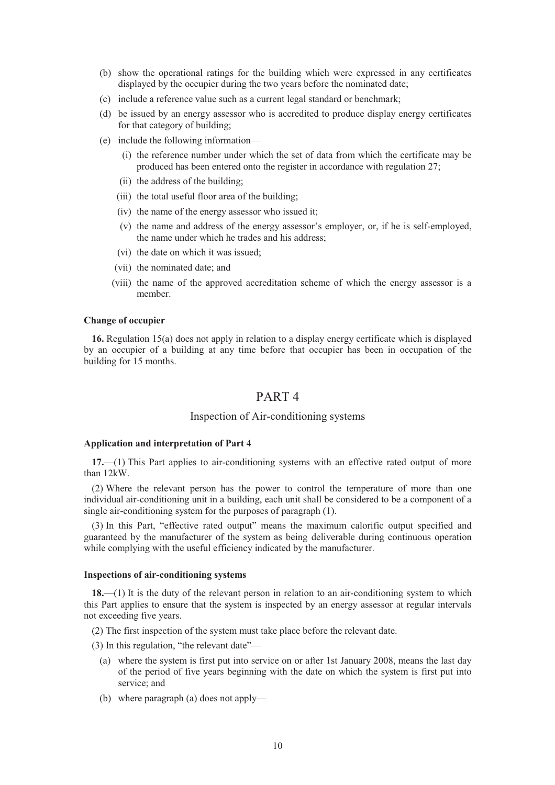- (b) show the operational ratings for the building which were expressed in any certificates displayed by the occupier during the two years before the nominated date;
- (c) include a reference value such as a current legal standard or benchmark;
- (d) be issued by an energy assessor who is accredited to produce display energy certificates for that category of building;
- (e) include the following information—
	- (i) the reference number under which the set of data from which the certificate may be produced has been entered onto the register in accordance with regulation 27;
	- (ii) the address of the building;
	- (iii) the total useful floor area of the building;
	- (iv) the name of the energy assessor who issued it;
	- (v) the name and address of the energy assessor's employer, or, if he is self-employed, the name under which he trades and his address;
	- (vi) the date on which it was issued;
	- (vii) the nominated date; and
	- (viii) the name of the approved accreditation scheme of which the energy assessor is a member.

### **Change of occupier**

**16.** Regulation 15(a) does not apply in relation to a display energy certificate which is displayed by an occupier of a building at any time before that occupier has been in occupation of the building for 15 months.

# PART 4

## Inspection of Air-conditioning systems

#### **Application and interpretation of Part 4**

**17.**—(1) This Part applies to air-conditioning systems with an effective rated output of more than 12kW.

(2) Where the relevant person has the power to control the temperature of more than one individual air-conditioning unit in a building, each unit shall be considered to be a component of a single air-conditioning system for the purposes of paragraph (1).

(3) In this Part, "effective rated output" means the maximum calorific output specified and guaranteed by the manufacturer of the system as being deliverable during continuous operation while complying with the useful efficiency indicated by the manufacturer.

#### **Inspections of air-conditioning systems**

**18.**—(1) It is the duty of the relevant person in relation to an air-conditioning system to which this Part applies to ensure that the system is inspected by an energy assessor at regular intervals not exceeding five years.

- (2) The first inspection of the system must take place before the relevant date.
- (3) In this regulation, "the relevant date"—
	- (a) where the system is first put into service on or after 1st January 2008, means the last day of the period of five years beginning with the date on which the system is first put into service; and
	- (b) where paragraph (a) does not apply—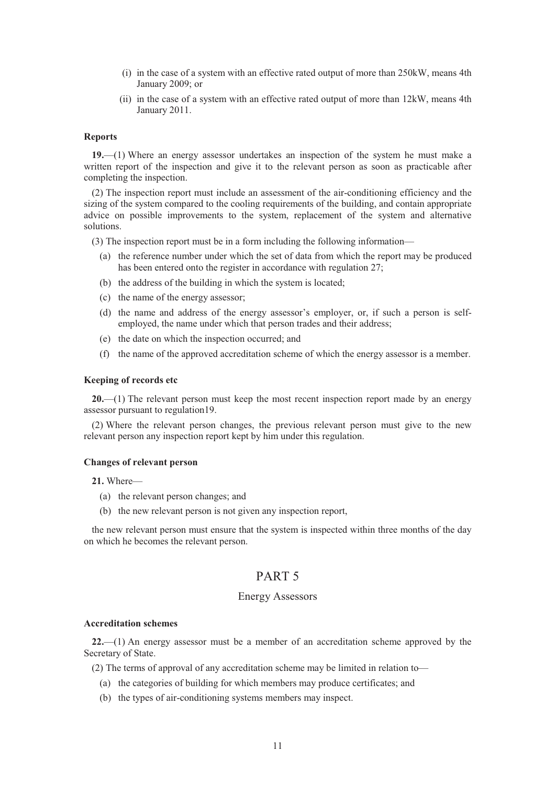- (i) in the case of a system with an effective rated output of more than 250kW, means 4th January 2009; or
- (ii) in the case of a system with an effective rated output of more than 12kW, means 4th January 2011.

### **Reports**

**19.**—(1) Where an energy assessor undertakes an inspection of the system he must make a written report of the inspection and give it to the relevant person as soon as practicable after completing the inspection.

(2) The inspection report must include an assessment of the air-conditioning efficiency and the sizing of the system compared to the cooling requirements of the building, and contain appropriate advice on possible improvements to the system, replacement of the system and alternative solutions.

(3) The inspection report must be in a form including the following information—

- (a) the reference number under which the set of data from which the report may be produced has been entered onto the register in accordance with regulation 27;
- (b) the address of the building in which the system is located;
- (c) the name of the energy assessor;
- (d) the name and address of the energy assessor's employer, or, if such a person is selfemployed, the name under which that person trades and their address;
- (e) the date on which the inspection occurred; and
- (f) the name of the approved accreditation scheme of which the energy assessor is a member.

#### **Keeping of records etc**

**20.**—(1) The relevant person must keep the most recent inspection report made by an energy assessor pursuant to regulation19.

(2) Where the relevant person changes, the previous relevant person must give to the new relevant person any inspection report kept by him under this regulation.

#### **Changes of relevant person**

**21.** Where—

- (a) the relevant person changes; and
- (b) the new relevant person is not given any inspection report,

the new relevant person must ensure that the system is inspected within three months of the day on which he becomes the relevant person.

# PART 5

## Energy Assessors

#### **Accreditation schemes**

**22.**—(1) An energy assessor must be a member of an accreditation scheme approved by the Secretary of State.

(2) The terms of approval of any accreditation scheme may be limited in relation to—

- (a) the categories of building for which members may produce certificates; and
- (b) the types of air-conditioning systems members may inspect.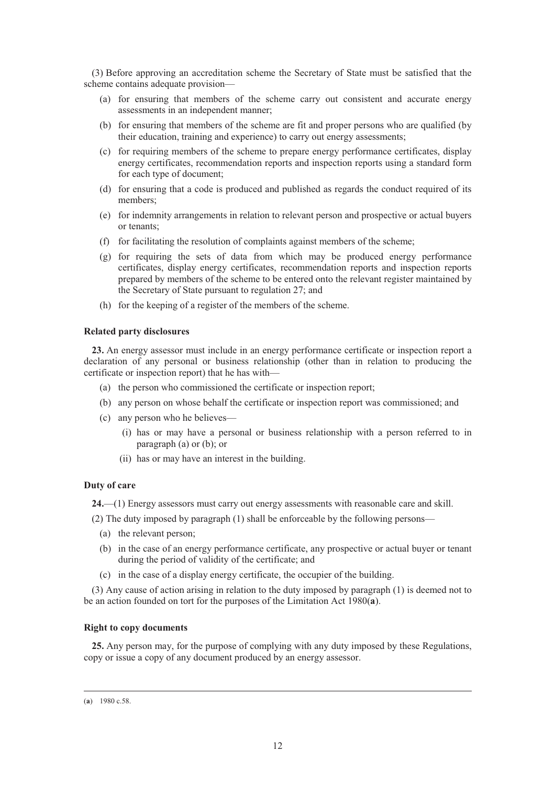(3) Before approving an accreditation scheme the Secretary of State must be satisfied that the scheme contains adequate provision—

- (a) for ensuring that members of the scheme carry out consistent and accurate energy assessments in an independent manner;
- (b) for ensuring that members of the scheme are fit and proper persons who are qualified (by their education, training and experience) to carry out energy assessments;
- (c) for requiring members of the scheme to prepare energy performance certificates, display energy certificates, recommendation reports and inspection reports using a standard form for each type of document;
- (d) for ensuring that a code is produced and published as regards the conduct required of its members;
- (e) for indemnity arrangements in relation to relevant person and prospective or actual buyers or tenants;
- (f) for facilitating the resolution of complaints against members of the scheme;
- (g) for requiring the sets of data from which may be produced energy performance certificates, display energy certificates, recommendation reports and inspection reports prepared by members of the scheme to be entered onto the relevant register maintained by the Secretary of State pursuant to regulation 27; and
- (h) for the keeping of a register of the members of the scheme.

### **Related party disclosures**

**23.** An energy assessor must include in an energy performance certificate or inspection report a declaration of any personal or business relationship (other than in relation to producing the certificate or inspection report) that he has with—

- (a) the person who commissioned the certificate or inspection report;
- (b) any person on whose behalf the certificate or inspection report was commissioned; and
- (c) any person who he believes—
	- (i) has or may have a personal or business relationship with a person referred to in paragraph (a) or (b); or
	- (ii) has or may have an interest in the building.

## **Duty of care**

**24.**—(1) Energy assessors must carry out energy assessments with reasonable care and skill.

- (2) The duty imposed by paragraph (1) shall be enforceable by the following persons—
	- (a) the relevant person;
	- (b) in the case of an energy performance certificate, any prospective or actual buyer or tenant during the period of validity of the certificate; and
	- (c) in the case of a display energy certificate, the occupier of the building.

(3) Any cause of action arising in relation to the duty imposed by paragraph (1) is deemed not to be an action founded on tort for the purposes of the Limitation Act 1980(**a**).

### **Right to copy documents**

**25.** Any person may, for the purpose of complying with any duty imposed by these Regulations, copy or issue a copy of any document produced by an energy assessor.

 <sup>(</sup>**a**) 1980 c.58.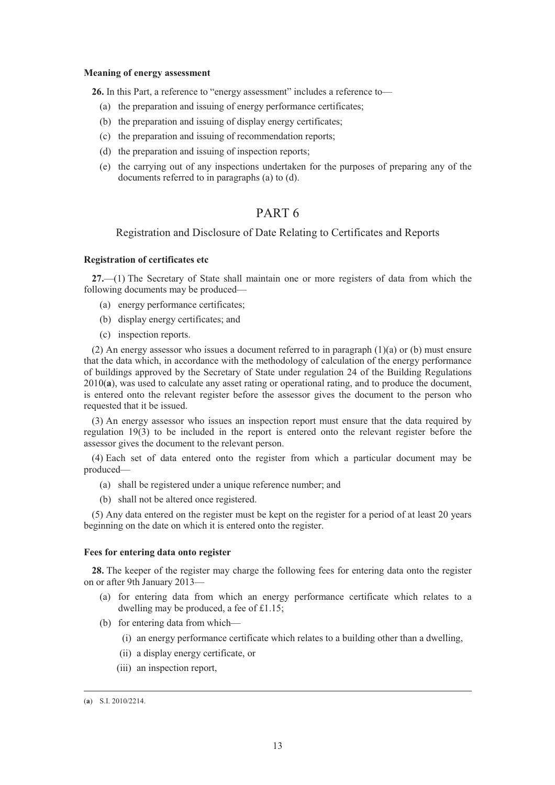#### **Meaning of energy assessment**

**26.** In this Part, a reference to "energy assessment" includes a reference to—

- (a) the preparation and issuing of energy performance certificates;
- (b) the preparation and issuing of display energy certificates;
- (c) the preparation and issuing of recommendation reports;
- (d) the preparation and issuing of inspection reports;
- (e) the carrying out of any inspections undertaken for the purposes of preparing any of the documents referred to in paragraphs (a) to (d).

# PART 6

## Registration and Disclosure of Date Relating to Certificates and Reports

# **Registration of certificates etc**

**27.**—(1) The Secretary of State shall maintain one or more registers of data from which the following documents may be produced—

- (a) energy performance certificates;
- (b) display energy certificates; and
- (c) inspection reports.

(2) An energy assessor who issues a document referred to in paragraph (1)(a) or (b) must ensure that the data which, in accordance with the methodology of calculation of the energy performance of buildings approved by the Secretary of State under regulation 24 of the Building Regulations 2010(**a**), was used to calculate any asset rating or operational rating, and to produce the document, is entered onto the relevant register before the assessor gives the document to the person who requested that it be issued.

(3) An energy assessor who issues an inspection report must ensure that the data required by regulation 19(3) to be included in the report is entered onto the relevant register before the assessor gives the document to the relevant person.

(4) Each set of data entered onto the register from which a particular document may be produced—

- (a) shall be registered under a unique reference number; and
- (b) shall not be altered once registered.

(5) Any data entered on the register must be kept on the register for a period of at least 20 years beginning on the date on which it is entered onto the register.

#### **Fees for entering data onto register**

**28.** The keeper of the register may charge the following fees for entering data onto the register on or after 9th January 2013—

- (a) for entering data from which an energy performance certificate which relates to a dwelling may be produced, a fee of £1.15;
- (b) for entering data from which—
	- (i) an energy performance certificate which relates to a building other than a dwelling,
	- (ii) a display energy certificate, or
	- (iii) an inspection report,

 <sup>(</sup>**a**) S.I. 2010/2214.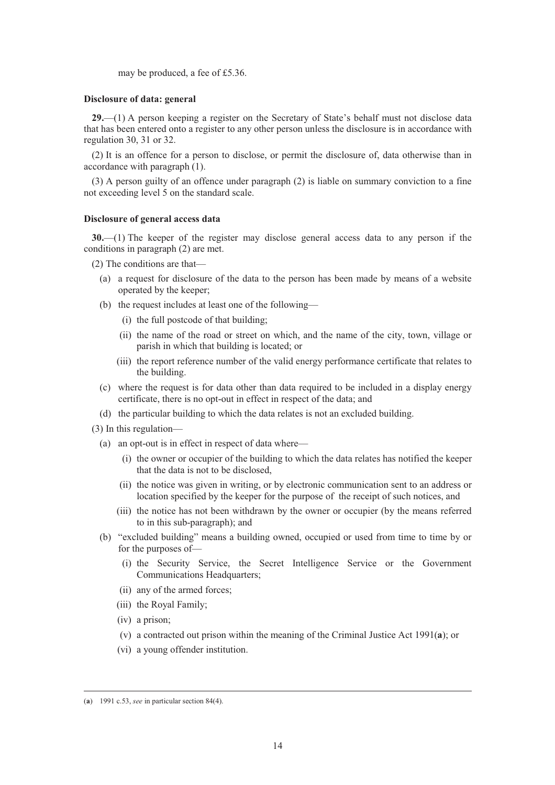may be produced, a fee of £5.36.

#### **Disclosure of data: general**

**29.**—(1) A person keeping a register on the Secretary of State's behalf must not disclose data that has been entered onto a register to any other person unless the disclosure is in accordance with regulation 30, 31 or 32.

(2) It is an offence for a person to disclose, or permit the disclosure of, data otherwise than in accordance with paragraph (1).

(3) A person guilty of an offence under paragraph (2) is liable on summary conviction to a fine not exceeding level 5 on the standard scale.

### **Disclosure of general access data**

**30.**—(1) The keeper of the register may disclose general access data to any person if the conditions in paragraph (2) are met.

(2) The conditions are that—

- (a) a request for disclosure of the data to the person has been made by means of a website operated by the keeper;
- (b) the request includes at least one of the following—
	- (i) the full postcode of that building;
	- (ii) the name of the road or street on which, and the name of the city, town, village or parish in which that building is located; or
	- (iii) the report reference number of the valid energy performance certificate that relates to the building.
- (c) where the request is for data other than data required to be included in a display energy certificate, there is no opt-out in effect in respect of the data; and
- (d) the particular building to which the data relates is not an excluded building.
- (3) In this regulation—
	- (a) an opt-out is in effect in respect of data where—
		- (i) the owner or occupier of the building to which the data relates has notified the keeper that the data is not to be disclosed,
		- (ii) the notice was given in writing, or by electronic communication sent to an address or location specified by the keeper for the purpose of the receipt of such notices, and
		- (iii) the notice has not been withdrawn by the owner or occupier (by the means referred to in this sub-paragraph); and
	- (b) "excluded building" means a building owned, occupied or used from time to time by or for the purposes of—
		- (i) the Security Service, the Secret Intelligence Service or the Government Communications Headquarters;
		- (ii) any of the armed forces;
		- (iii) the Royal Family;
		- (iv) a prison;
		- (v) a contracted out prison within the meaning of the Criminal Justice Act 1991(**a**); or
		- (vi) a young offender institution.

 <sup>(</sup>**a**) 1991 c.53, *see* in particular section 84(4).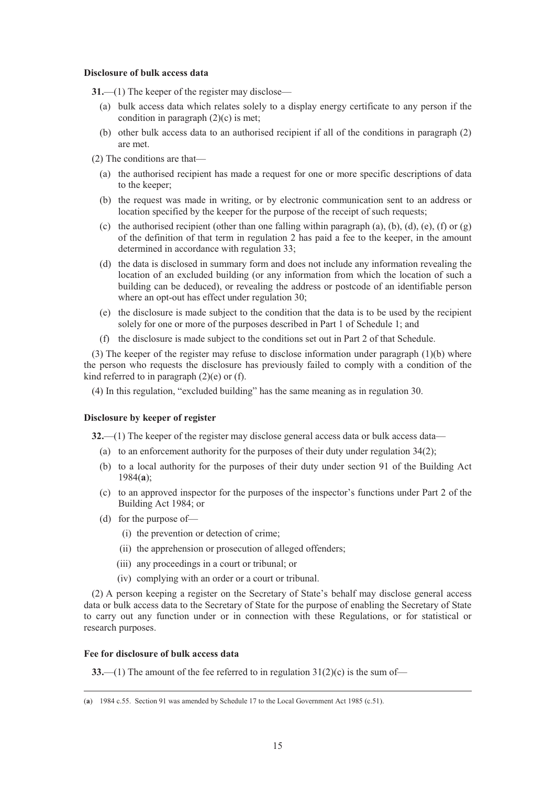#### **Disclosure of bulk access data**

**31.**—(1) The keeper of the register may disclose—

- (a) bulk access data which relates solely to a display energy certificate to any person if the condition in paragraph (2)(c) is met;
- (b) other bulk access data to an authorised recipient if all of the conditions in paragraph (2) are met.
- (2) The conditions are that—
	- (a) the authorised recipient has made a request for one or more specific descriptions of data to the keeper;
	- (b) the request was made in writing, or by electronic communication sent to an address or location specified by the keeper for the purpose of the receipt of such requests;
	- (c) the authorised recipient (other than one falling within paragraph (a), (b), (d), (e), (f) or (g) of the definition of that term in regulation 2 has paid a fee to the keeper, in the amount determined in accordance with regulation 33;
	- (d) the data is disclosed in summary form and does not include any information revealing the location of an excluded building (or any information from which the location of such a building can be deduced), or revealing the address or postcode of an identifiable person where an opt-out has effect under regulation 30;
	- (e) the disclosure is made subject to the condition that the data is to be used by the recipient solely for one or more of the purposes described in Part 1 of Schedule 1; and
	- (f) the disclosure is made subject to the conditions set out in Part 2 of that Schedule.

(3) The keeper of the register may refuse to disclose information under paragraph (1)(b) where the person who requests the disclosure has previously failed to comply with a condition of the kind referred to in paragraph  $(2)(e)$  or  $(f)$ .

(4) In this regulation, "excluded building" has the same meaning as in regulation 30.

#### **Disclosure by keeper of register**

**32.**—(1) The keeper of the register may disclose general access data or bulk access data—

- (a) to an enforcement authority for the purposes of their duty under regulation 34(2);
- (b) to a local authority for the purposes of their duty under section 91 of the Building Act 1984(**a**);
- (c) to an approved inspector for the purposes of the inspector's functions under Part 2 of the Building Act 1984; or
- (d) for the purpose of—
	- (i) the prevention or detection of crime;
	- (ii) the apprehension or prosecution of alleged offenders;
	- (iii) any proceedings in a court or tribunal; or
	- (iv) complying with an order or a court or tribunal.

(2) A person keeping a register on the Secretary of State's behalf may disclose general access data or bulk access data to the Secretary of State for the purpose of enabling the Secretary of State to carry out any function under or in connection with these Regulations, or for statistical or research purposes.

### **Fee for disclosure of bulk access data**

**33.**—(1) The amount of the fee referred to in regulation 31(2)(c) is the sum of—

 <sup>(</sup>**a**) 1984 c.55. Section 91 was amended by Schedule 17 to the Local Government Act 1985 (c.51).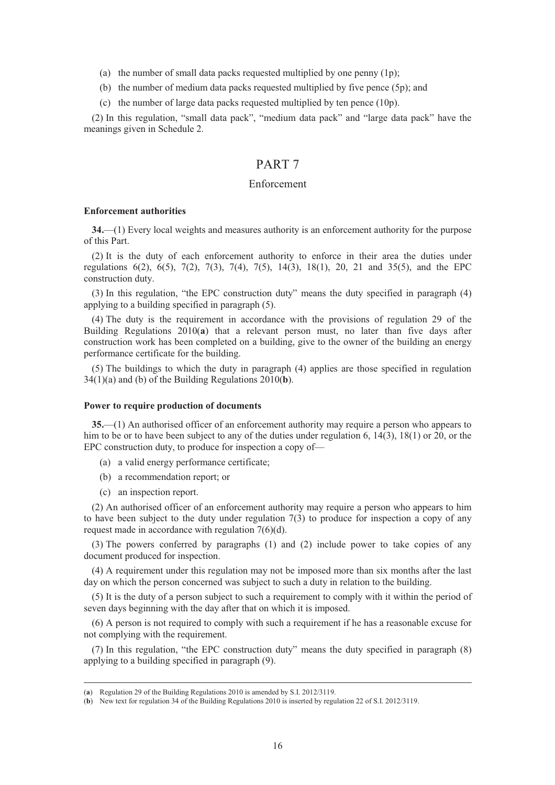- (a) the number of small data packs requested multiplied by one penny (1p);
- (b) the number of medium data packs requested multiplied by five pence (5p); and
- (c) the number of large data packs requested multiplied by ten pence (10p).

(2) In this regulation, "small data pack", "medium data pack" and "large data pack" have the meanings given in Schedule 2.

# PART 7

## Enforcement

#### **Enforcement authorities**

**34.**—(1) Every local weights and measures authority is an enforcement authority for the purpose of this Part.

(2) It is the duty of each enforcement authority to enforce in their area the duties under regulations 6(2), 6(5), 7(2), 7(3), 7(4), 7(5), 14(3), 18(1), 20, 21 and 35(5), and the EPC construction duty.

(3) In this regulation, "the EPC construction duty" means the duty specified in paragraph (4) applying to a building specified in paragraph (5).

(4) The duty is the requirement in accordance with the provisions of regulation 29 of the Building Regulations 2010(**a**) that a relevant person must, no later than five days after construction work has been completed on a building, give to the owner of the building an energy performance certificate for the building.

(5) The buildings to which the duty in paragraph (4) applies are those specified in regulation 34(1)(a) and (b) of the Building Regulations 2010(**b**).

#### **Power to require production of documents**

**35.**—(1) An authorised officer of an enforcement authority may require a person who appears to him to be or to have been subject to any of the duties under regulation 6, 14(3), 18(1) or 20, or the EPC construction duty, to produce for inspection a copy of—

- (a) a valid energy performance certificate;
- (b) a recommendation report; or
- (c) an inspection report.

(2) An authorised officer of an enforcement authority may require a person who appears to him to have been subject to the duty under regulation 7(3) to produce for inspection a copy of any request made in accordance with regulation 7(6)(d).

(3) The powers conferred by paragraphs (1) and (2) include power to take copies of any document produced for inspection.

(4) A requirement under this regulation may not be imposed more than six months after the last day on which the person concerned was subject to such a duty in relation to the building.

(5) It is the duty of a person subject to such a requirement to comply with it within the period of seven days beginning with the day after that on which it is imposed.

(6) A person is not required to comply with such a requirement if he has a reasonable excuse for not complying with the requirement.

(7) In this regulation, "the EPC construction duty" means the duty specified in paragraph (8) applying to a building specified in paragraph (9).

 <sup>(</sup>**a**) Regulation 29 of the Building Regulations 2010 is amended by S.I. 2012/3119.

<sup>(</sup>**b**) New text for regulation 34 of the Building Regulations 2010 is inserted by regulation 22 of S.I. 2012/3119.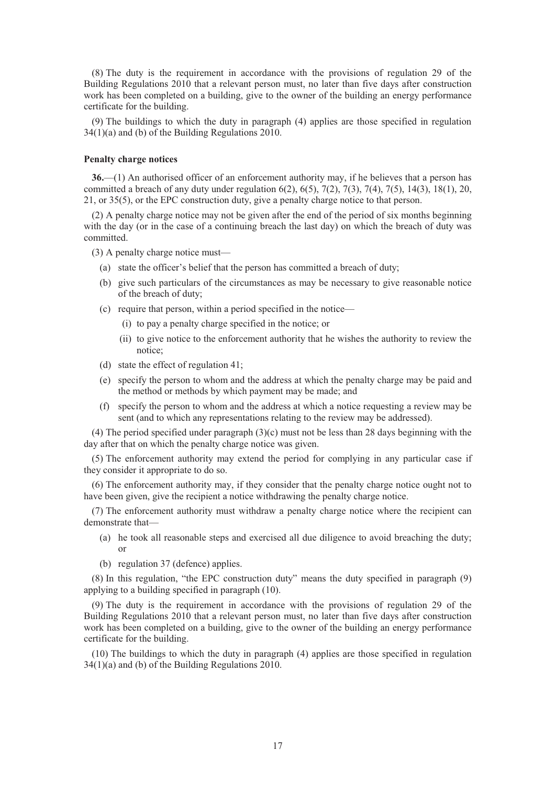(8) The duty is the requirement in accordance with the provisions of regulation 29 of the Building Regulations 2010 that a relevant person must, no later than five days after construction work has been completed on a building, give to the owner of the building an energy performance certificate for the building.

(9) The buildings to which the duty in paragraph (4) applies are those specified in regulation 34(1)(a) and (b) of the Building Regulations 2010.

## **Penalty charge notices**

**36.**—(1) An authorised officer of an enforcement authority may, if he believes that a person has committed a breach of any duty under regulation  $6(2)$ ,  $6(5)$ ,  $7(2)$ ,  $7(3)$ ,  $7(4)$ ,  $7(5)$ ,  $14(3)$ ,  $18(1)$ ,  $20$ , 21, or 35(5), or the EPC construction duty, give a penalty charge notice to that person.

(2) A penalty charge notice may not be given after the end of the period of six months beginning with the day (or in the case of a continuing breach the last day) on which the breach of duty was committed.

(3) A penalty charge notice must—

- (a) state the officer's belief that the person has committed a breach of duty;
- (b) give such particulars of the circumstances as may be necessary to give reasonable notice of the breach of duty;
- (c) require that person, within a period specified in the notice—
	- (i) to pay a penalty charge specified in the notice; or
	- (ii) to give notice to the enforcement authority that he wishes the authority to review the notice;
- (d) state the effect of regulation 41;
- (e) specify the person to whom and the address at which the penalty charge may be paid and the method or methods by which payment may be made; and
- (f) specify the person to whom and the address at which a notice requesting a review may be sent (and to which any representations relating to the review may be addressed).

(4) The period specified under paragraph (3)(c) must not be less than 28 days beginning with the day after that on which the penalty charge notice was given.

(5) The enforcement authority may extend the period for complying in any particular case if they consider it appropriate to do so.

(6) The enforcement authority may, if they consider that the penalty charge notice ought not to have been given, give the recipient a notice withdrawing the penalty charge notice.

(7) The enforcement authority must withdraw a penalty charge notice where the recipient can demonstrate that—

- (a) he took all reasonable steps and exercised all due diligence to avoid breaching the duty; or
- (b) regulation 37 (defence) applies.

(8) In this regulation, "the EPC construction duty" means the duty specified in paragraph (9) applying to a building specified in paragraph (10).

(9) The duty is the requirement in accordance with the provisions of regulation 29 of the Building Regulations 2010 that a relevant person must, no later than five days after construction work has been completed on a building, give to the owner of the building an energy performance certificate for the building.

(10) The buildings to which the duty in paragraph (4) applies are those specified in regulation 34(1)(a) and (b) of the Building Regulations 2010.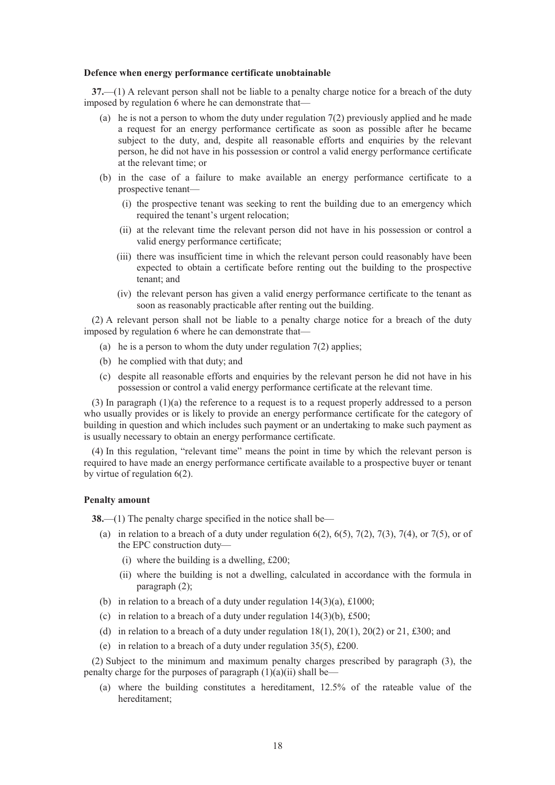#### **Defence when energy performance certificate unobtainable**

**37.**—(1) A relevant person shall not be liable to a penalty charge notice for a breach of the duty imposed by regulation 6 where he can demonstrate that—

- (a) he is not a person to whom the duty under regulation  $7(2)$  previously applied and he made a request for an energy performance certificate as soon as possible after he became subject to the duty, and, despite all reasonable efforts and enquiries by the relevant person, he did not have in his possession or control a valid energy performance certificate at the relevant time; or
- (b) in the case of a failure to make available an energy performance certificate to a prospective tenant—
	- (i) the prospective tenant was seeking to rent the building due to an emergency which required the tenant's urgent relocation;
	- (ii) at the relevant time the relevant person did not have in his possession or control a valid energy performance certificate;
	- (iii) there was insufficient time in which the relevant person could reasonably have been expected to obtain a certificate before renting out the building to the prospective tenant; and
	- (iv) the relevant person has given a valid energy performance certificate to the tenant as soon as reasonably practicable after renting out the building.

(2) A relevant person shall not be liable to a penalty charge notice for a breach of the duty imposed by regulation 6 where he can demonstrate that—

- (a) he is a person to whom the duty under regulation  $7(2)$  applies;
- (b) he complied with that duty; and
- (c) despite all reasonable efforts and enquiries by the relevant person he did not have in his possession or control a valid energy performance certificate at the relevant time.

(3) In paragraph (1)(a) the reference to a request is to a request properly addressed to a person who usually provides or is likely to provide an energy performance certificate for the category of building in question and which includes such payment or an undertaking to make such payment as is usually necessary to obtain an energy performance certificate.

(4) In this regulation, "relevant time" means the point in time by which the relevant person is required to have made an energy performance certificate available to a prospective buyer or tenant by virtue of regulation 6(2).

#### **Penalty amount**

**38.**—(1) The penalty charge specified in the notice shall be—

- (a) in relation to a breach of a duty under regulation  $6(2)$ ,  $6(5)$ ,  $7(2)$ ,  $7(3)$ ,  $7(4)$ , or  $7(5)$ , or of the EPC construction duty—
	- (i) where the building is a dwelling,  $£200;$
	- (ii) where the building is not a dwelling, calculated in accordance with the formula in paragraph (2);
- (b) in relation to a breach of a duty under regulation  $14(3)(a)$ , £1000;
- (c) in relation to a breach of a duty under regulation  $14(3)(b)$ , £500;
- (d) in relation to a breach of a duty under regulation  $18(1)$ ,  $20(1)$ ,  $20(2)$  or 21, £300; and
- (e) in relation to a breach of a duty under regulation  $35(5)$ , £200.

(2) Subject to the minimum and maximum penalty charges prescribed by paragraph (3), the penalty charge for the purposes of paragraph  $(1)(a)(ii)$  shall be—

(a) where the building constitutes a hereditament, 12.5% of the rateable value of the hereditament;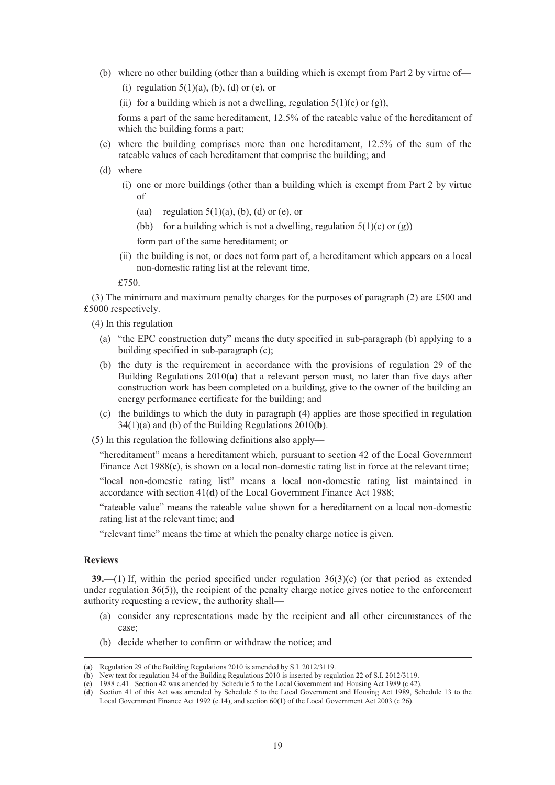- (b) where no other building (other than a building which is exempt from Part 2 by virtue of—
	- (i) regulation  $5(1)(a)$ , (b), (d) or (e), or
	- (ii) for a building which is not a dwelling, regulation  $5(1)(c)$  or (g)),

forms a part of the same hereditament, 12.5% of the rateable value of the hereditament of which the building forms a part;

- (c) where the building comprises more than one hereditament, 12.5% of the sum of the rateable values of each hereditament that comprise the building; and
- (d) where—
	- (i) one or more buildings (other than a building which is exempt from Part 2 by virtue of—
		- (aa) regulation  $5(1)(a)$ , (b), (d) or (e), or
		- (bb) for a building which is not a dwelling, regulation  $5(1)(c)$  or  $(g)$ )

form part of the same hereditament; or

(ii) the building is not, or does not form part of, a hereditament which appears on a local non-domestic rating list at the relevant time,

£750.

(3) The minimum and maximum penalty charges for the purposes of paragraph (2) are £500 and £5000 respectively.

- (4) In this regulation—
	- (a) "the EPC construction duty" means the duty specified in sub-paragraph (b) applying to a building specified in sub-paragraph (c);
	- (b) the duty is the requirement in accordance with the provisions of regulation 29 of the Building Regulations 2010(**a**) that a relevant person must, no later than five days after construction work has been completed on a building, give to the owner of the building an energy performance certificate for the building; and
	- (c) the buildings to which the duty in paragraph (4) applies are those specified in regulation 34(1)(a) and (b) of the Building Regulations 2010(**b**).
- (5) In this regulation the following definitions also apply—

"hereditament" means a hereditament which, pursuant to section 42 of the Local Government Finance Act 1988(**c**), is shown on a local non-domestic rating list in force at the relevant time;

"local non-domestic rating list" means a local non-domestic rating list maintained in accordance with section 41(**d**) of the Local Government Finance Act 1988;

"rateable value" means the rateable value shown for a hereditament on a local non-domestic rating list at the relevant time; and

"relevant time" means the time at which the penalty charge notice is given.

### **Reviews**

**39.**—(1) If, within the period specified under regulation 36(3)(c) (or that period as extended under regulation 36(5)), the recipient of the penalty charge notice gives notice to the enforcement authority requesting a review, the authority shall—

- (a) consider any representations made by the recipient and all other circumstances of the case;
- (b) decide whether to confirm or withdraw the notice; and

 <sup>(</sup>**a**) Regulation 29 of the Building Regulations 2010 is amended by S.I. 2012/3119.

<sup>(</sup>**b**) New text for regulation 34 of the Building Regulations 2010 is inserted by regulation 22 of S.I. 2012/3119.

<sup>(</sup>**c**) 1988 c.41. Section 42 was amended by Schedule 5 to the Local Government and Housing Act 1989 (c.42).

<sup>(</sup>**d**) Section 41 of this Act was amended by Schedule 5 to the Local Government and Housing Act 1989, Schedule 13 to the Local Government Finance Act 1992 (c.14), and section 60(1) of the Local Government Act 2003 (c.26).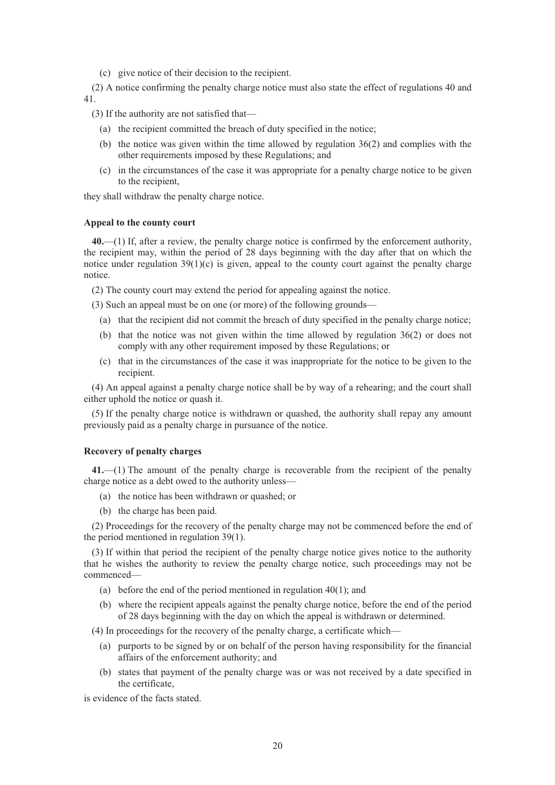(c) give notice of their decision to the recipient.

(2) A notice confirming the penalty charge notice must also state the effect of regulations 40 and 41.

(3) If the authority are not satisfied that—

- (a) the recipient committed the breach of duty specified in the notice;
- (b) the notice was given within the time allowed by regulation 36(2) and complies with the other requirements imposed by these Regulations; and
- (c) in the circumstances of the case it was appropriate for a penalty charge notice to be given to the recipient,

they shall withdraw the penalty charge notice.

### **Appeal to the county court**

**40.**—(1) If, after a review, the penalty charge notice is confirmed by the enforcement authority, the recipient may, within the period of 28 days beginning with the day after that on which the notice under regulation  $39(1)(c)$  is given, appeal to the county court against the penalty charge notice.

(2) The county court may extend the period for appealing against the notice.

(3) Such an appeal must be on one (or more) of the following grounds—

- (a) that the recipient did not commit the breach of duty specified in the penalty charge notice;
- (b) that the notice was not given within the time allowed by regulation 36(2) or does not comply with any other requirement imposed by these Regulations; or
- (c) that in the circumstances of the case it was inappropriate for the notice to be given to the recipient.

(4) An appeal against a penalty charge notice shall be by way of a rehearing; and the court shall either uphold the notice or quash it.

(5) If the penalty charge notice is withdrawn or quashed, the authority shall repay any amount previously paid as a penalty charge in pursuance of the notice.

### **Recovery of penalty charges**

**41.**—(1) The amount of the penalty charge is recoverable from the recipient of the penalty charge notice as a debt owed to the authority unless—

- (a) the notice has been withdrawn or quashed; or
- (b) the charge has been paid.

(2) Proceedings for the recovery of the penalty charge may not be commenced before the end of the period mentioned in regulation 39(1).

(3) If within that period the recipient of the penalty charge notice gives notice to the authority that he wishes the authority to review the penalty charge notice, such proceedings may not be commenced—

- (a) before the end of the period mentioned in regulation 40(1); and
- (b) where the recipient appeals against the penalty charge notice, before the end of the period of 28 days beginning with the day on which the appeal is withdrawn or determined.

(4) In proceedings for the recovery of the penalty charge, a certificate which—

- (a) purports to be signed by or on behalf of the person having responsibility for the financial affairs of the enforcement authority; and
- (b) states that payment of the penalty charge was or was not received by a date specified in the certificate,

is evidence of the facts stated.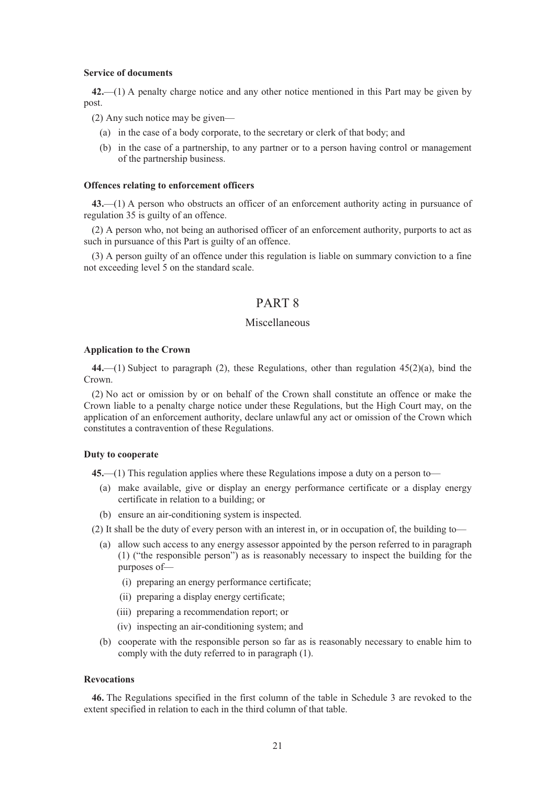#### **Service of documents**

**42.**—(1) A penalty charge notice and any other notice mentioned in this Part may be given by post.

(2) Any such notice may be given—

- (a) in the case of a body corporate, to the secretary or clerk of that body; and
- (b) in the case of a partnership, to any partner or to a person having control or management of the partnership business.

#### **Offences relating to enforcement officers**

**43.**—(1) A person who obstructs an officer of an enforcement authority acting in pursuance of regulation 35 is guilty of an offence.

(2) A person who, not being an authorised officer of an enforcement authority, purports to act as such in pursuance of this Part is guilty of an offence.

(3) A person guilty of an offence under this regulation is liable on summary conviction to a fine not exceeding level 5 on the standard scale.

# PART 8

# Miscellaneous

#### **Application to the Crown**

**44.**—(1) Subject to paragraph (2), these Regulations, other than regulation 45(2)(a), bind the Crown.

(2) No act or omission by or on behalf of the Crown shall constitute an offence or make the Crown liable to a penalty charge notice under these Regulations, but the High Court may, on the application of an enforcement authority, declare unlawful any act or omission of the Crown which constitutes a contravention of these Regulations.

## **Duty to cooperate**

**45.**—(1) This regulation applies where these Regulations impose a duty on a person to—

- (a) make available, give or display an energy performance certificate or a display energy certificate in relation to a building; or
- (b) ensure an air-conditioning system is inspected.

(2) It shall be the duty of every person with an interest in, or in occupation of, the building to—

- (a) allow such access to any energy assessor appointed by the person referred to in paragraph (1) ("the responsible person") as is reasonably necessary to inspect the building for the purposes of—
	- (i) preparing an energy performance certificate;
	- (ii) preparing a display energy certificate;
	- (iii) preparing a recommendation report; or
	- (iv) inspecting an air-conditioning system; and
- (b) cooperate with the responsible person so far as is reasonably necessary to enable him to comply with the duty referred to in paragraph (1).

#### **Revocations**

**46.** The Regulations specified in the first column of the table in Schedule 3 are revoked to the extent specified in relation to each in the third column of that table.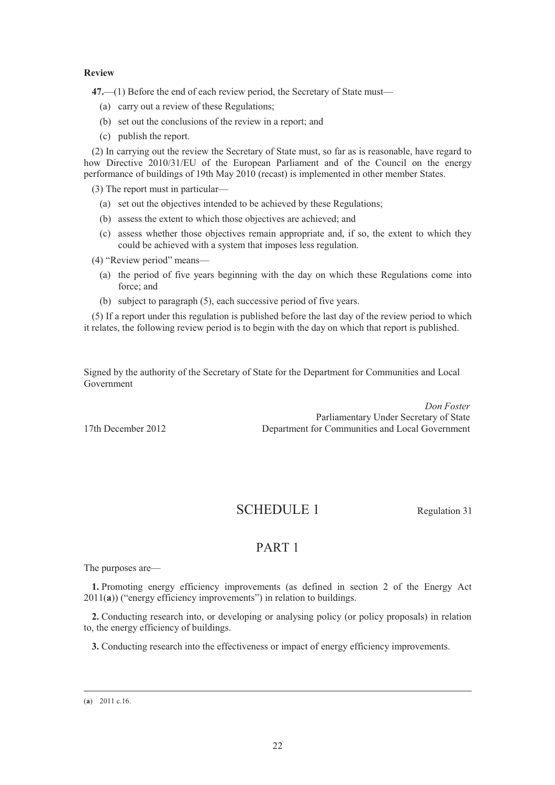### **Review**

**47.**—(1) Before the end of each review period, the Secretary of State must—

- (a) carry out a review of these Regulations;
- (b) set out the conclusions of the review in a report; and
- (c) publish the report.

(2) In carrying out the review the Secretary of State must, so far as is reasonable, have regard to how Directive 2010/31/EU of the European Parliament and of the Council on the energy performance of buildings of 19th May 2010 (recast) is implemented in other member States.

(3) The report must in particular—

- (a) set out the objectives intended to be achieved by these Regulations;
- (b) assess the extent to which those objectives are achieved; and
- (c) assess whether those objectives remain appropriate and, if so, the extent to which they could be achieved with a system that imposes less regulation.
- (4) "Review period" means—
	- (a) the period of five years beginning with the day on which these Regulations come into force; and
	- (b) subject to paragraph (5), each successive period of five years.

(5) If a report under this regulation is published before the last day of the review period to which it relates, the following review period is to begin with the day on which that report is published.

Signed by the authority of the Secretary of State for the Department for Communities and Local Government

*Don Foster* Parliamentary Under Secretary of State 17th December 2012 Department for Communities and Local Government

# SCHEDULE 1 Regulation 31

# PART 1

The purposes are—

**1.** Promoting energy efficiency improvements (as defined in section 2 of the Energy Act 2011(**a**)) ("energy efficiency improvements") in relation to buildings.

**2.** Conducting research into, or developing or analysing policy (or policy proposals) in relation to, the energy efficiency of buildings.

**3.** Conducting research into the effectiveness or impact of energy efficiency improvements.

 <sup>(</sup>**a**) 2011 c.16.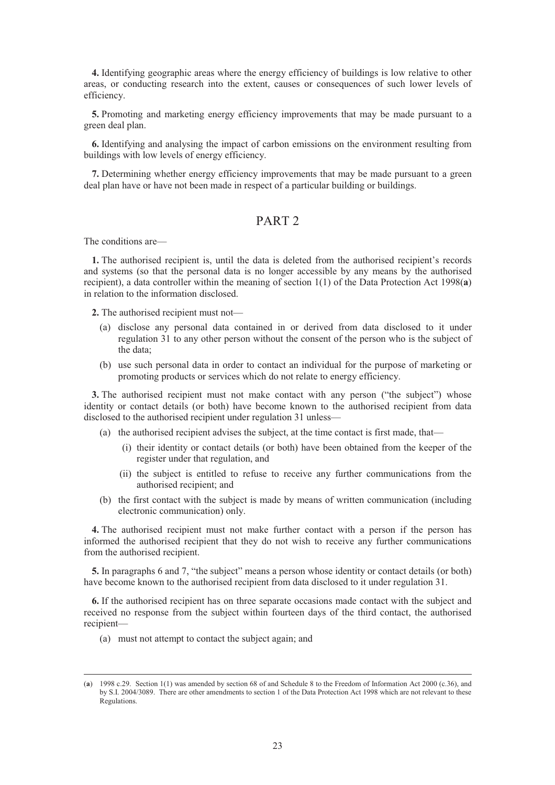**4.** Identifying geographic areas where the energy efficiency of buildings is low relative to other areas, or conducting research into the extent, causes or consequences of such lower levels of efficiency.

**5.** Promoting and marketing energy efficiency improvements that may be made pursuant to a green deal plan.

**6.** Identifying and analysing the impact of carbon emissions on the environment resulting from buildings with low levels of energy efficiency.

**7.** Determining whether energy efficiency improvements that may be made pursuant to a green deal plan have or have not been made in respect of a particular building or buildings.

# PART<sub>2</sub>

The conditions are—

**1.** The authorised recipient is, until the data is deleted from the authorised recipient's records and systems (so that the personal data is no longer accessible by any means by the authorised recipient), a data controller within the meaning of section 1(1) of the Data Protection Act 1998(**a**) in relation to the information disclosed.

**2.** The authorised recipient must not—

- (a) disclose any personal data contained in or derived from data disclosed to it under regulation 31 to any other person without the consent of the person who is the subject of the data;
- (b) use such personal data in order to contact an individual for the purpose of marketing or promoting products or services which do not relate to energy efficiency.

**3.** The authorised recipient must not make contact with any person ("the subject") whose identity or contact details (or both) have become known to the authorised recipient from data disclosed to the authorised recipient under regulation 31 unless—

- (a) the authorised recipient advises the subject, at the time contact is first made, that—
	- (i) their identity or contact details (or both) have been obtained from the keeper of the register under that regulation, and
	- (ii) the subject is entitled to refuse to receive any further communications from the authorised recipient; and
- (b) the first contact with the subject is made by means of written communication (including electronic communication) only.

**4.** The authorised recipient must not make further contact with a person if the person has informed the authorised recipient that they do not wish to receive any further communications from the authorised recipient.

**5.** In paragraphs 6 and 7, "the subject" means a person whose identity or contact details (or both) have become known to the authorised recipient from data disclosed to it under regulation 31.

**6.** If the authorised recipient has on three separate occasions made contact with the subject and received no response from the subject within fourteen days of the third contact, the authorised recipient—

(a) must not attempt to contact the subject again; and

 <sup>(</sup>**a**) 1998 c.29. Section 1(1) was amended by section 68 of and Schedule 8 to the Freedom of Information Act 2000 (c.36), and by S.I. 2004/3089. There are other amendments to section 1 of the Data Protection Act 1998 which are not relevant to these Regulations.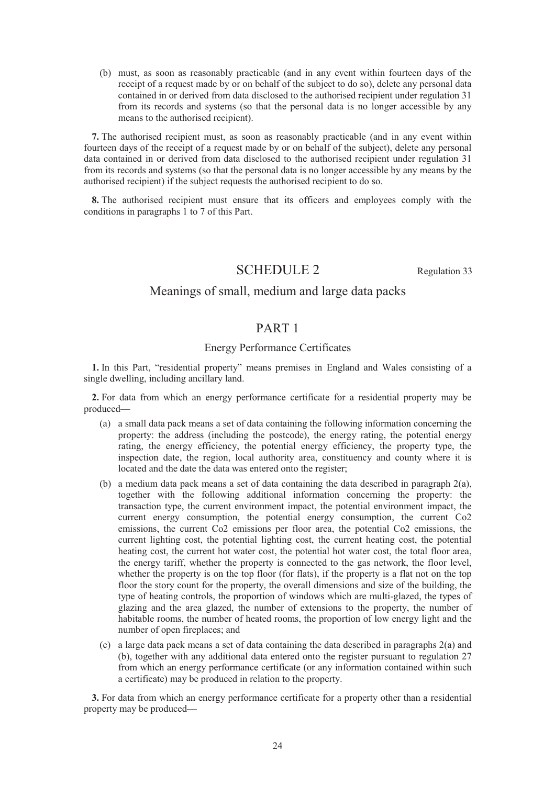(b) must, as soon as reasonably practicable (and in any event within fourteen days of the receipt of a request made by or on behalf of the subject to do so), delete any personal data contained in or derived from data disclosed to the authorised recipient under regulation 31 from its records and systems (so that the personal data is no longer accessible by any means to the authorised recipient).

**7.** The authorised recipient must, as soon as reasonably practicable (and in any event within fourteen days of the receipt of a request made by or on behalf of the subject), delete any personal data contained in or derived from data disclosed to the authorised recipient under regulation 31 from its records and systems (so that the personal data is no longer accessible by any means by the authorised recipient) if the subject requests the authorised recipient to do so.

**8.** The authorised recipient must ensure that its officers and employees comply with the conditions in paragraphs 1 to 7 of this Part.

# SCHEDULE 2 Regulation 33

# Meanings of small, medium and large data packs

# PART 1

# Energy Performance Certificates

**1.** In this Part, "residential property" means premises in England and Wales consisting of a single dwelling, including ancillary land.

**2.** For data from which an energy performance certificate for a residential property may be produced—

- (a) a small data pack means a set of data containing the following information concerning the property: the address (including the postcode), the energy rating, the potential energy rating, the energy efficiency, the potential energy efficiency, the property type, the inspection date, the region, local authority area, constituency and county where it is located and the date the data was entered onto the register;
- (b) a medium data pack means a set of data containing the data described in paragraph  $2(a)$ , together with the following additional information concerning the property: the transaction type, the current environment impact, the potential environment impact, the current energy consumption, the potential energy consumption, the current Co2 emissions, the current Co2 emissions per floor area, the potential Co2 emissions, the current lighting cost, the potential lighting cost, the current heating cost, the potential heating cost, the current hot water cost, the potential hot water cost, the total floor area, the energy tariff, whether the property is connected to the gas network, the floor level, whether the property is on the top floor (for flats), if the property is a flat not on the top floor the story count for the property, the overall dimensions and size of the building, the type of heating controls, the proportion of windows which are multi-glazed, the types of glazing and the area glazed, the number of extensions to the property, the number of habitable rooms, the number of heated rooms, the proportion of low energy light and the number of open fireplaces; and
- (c) a large data pack means a set of data containing the data described in paragraphs 2(a) and (b), together with any additional data entered onto the register pursuant to regulation 27 from which an energy performance certificate (or any information contained within such a certificate) may be produced in relation to the property.

**3.** For data from which an energy performance certificate for a property other than a residential property may be produced—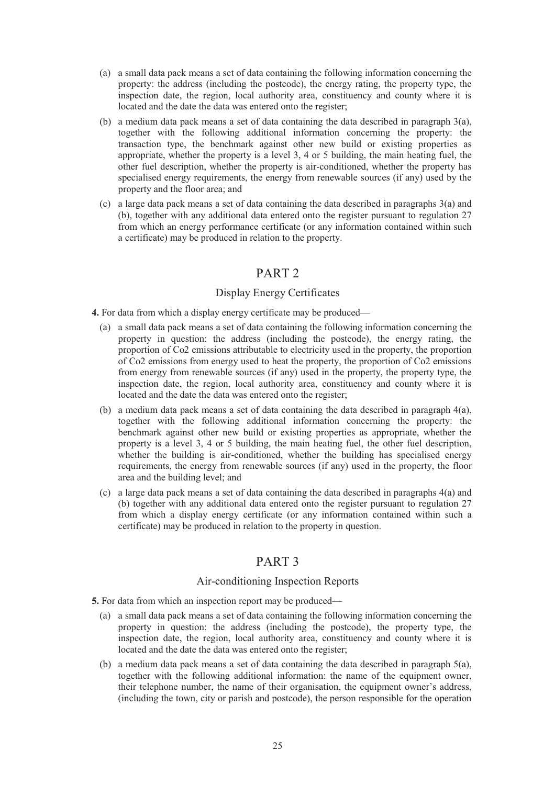- (a) a small data pack means a set of data containing the following information concerning the property: the address (including the postcode), the energy rating, the property type, the inspection date, the region, local authority area, constituency and county where it is located and the date the data was entered onto the register;
- (b) a medium data pack means a set of data containing the data described in paragraph  $3(a)$ , together with the following additional information concerning the property: the transaction type, the benchmark against other new build or existing properties as appropriate, whether the property is a level 3, 4 or 5 building, the main heating fuel, the other fuel description, whether the property is air-conditioned, whether the property has specialised energy requirements, the energy from renewable sources (if any) used by the property and the floor area; and
- (c) a large data pack means a set of data containing the data described in paragraphs 3(a) and (b), together with any additional data entered onto the register pursuant to regulation 27 from which an energy performance certificate (or any information contained within such a certificate) may be produced in relation to the property.

# PART 2

# Display Energy Certificates

**4.** For data from which a display energy certificate may be produced—

- (a) a small data pack means a set of data containing the following information concerning the property in question: the address (including the postcode), the energy rating, the proportion of Co2 emissions attributable to electricity used in the property, the proportion of Co2 emissions from energy used to heat the property, the proportion of Co2 emissions from energy from renewable sources (if any) used in the property, the property type, the inspection date, the region, local authority area, constituency and county where it is located and the date the data was entered onto the register;
- (b) a medium data pack means a set of data containing the data described in paragraph 4(a), together with the following additional information concerning the property: the benchmark against other new build or existing properties as appropriate, whether the property is a level 3, 4 or 5 building, the main heating fuel, the other fuel description, whether the building is air-conditioned, whether the building has specialised energy requirements, the energy from renewable sources (if any) used in the property, the floor area and the building level; and
- (c) a large data pack means a set of data containing the data described in paragraphs 4(a) and (b) together with any additional data entered onto the register pursuant to regulation 27 from which a display energy certificate (or any information contained within such a certificate) may be produced in relation to the property in question.

# PART 3

# Air-conditioning Inspection Reports

- **5.** For data from which an inspection report may be produced—
	- (a) a small data pack means a set of data containing the following information concerning the property in question: the address (including the postcode), the property type, the inspection date, the region, local authority area, constituency and county where it is located and the date the data was entered onto the register;
	- (b) a medium data pack means a set of data containing the data described in paragraph  $5(a)$ , together with the following additional information: the name of the equipment owner, their telephone number, the name of their organisation, the equipment owner's address, (including the town, city or parish and postcode), the person responsible for the operation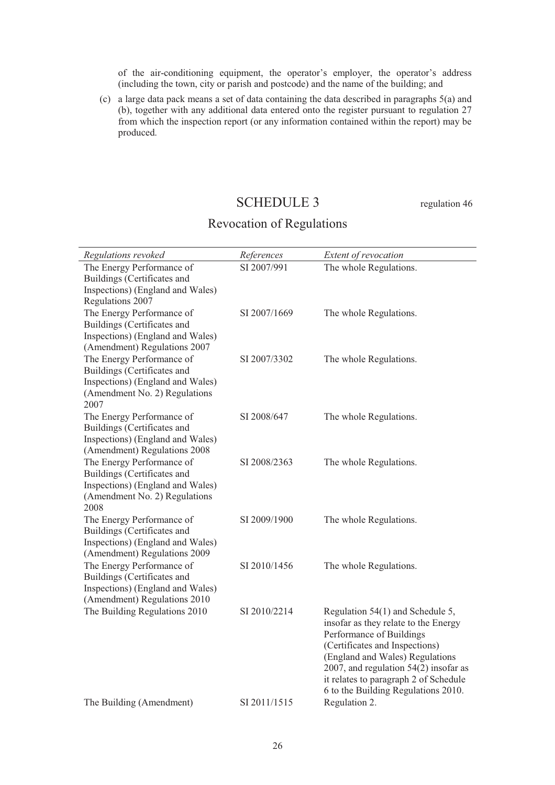of the air-conditioning equipment, the operator's employer, the operator's address (including the town, city or parish and postcode) and the name of the building; and

(c) a large data pack means a set of data containing the data described in paragraphs 5(a) and (b), together with any additional data entered onto the register pursuant to regulation 27 from which the inspection report (or any information contained within the report) may be produced.

# SCHEDULE 3 regulation 46

# Revocation of Regulations

| Regulations revoked                                                                                                                   | References   | Extent of revocation                                                                                                                                                                                                                                                                                 |
|---------------------------------------------------------------------------------------------------------------------------------------|--------------|------------------------------------------------------------------------------------------------------------------------------------------------------------------------------------------------------------------------------------------------------------------------------------------------------|
| The Energy Performance of<br>Buildings (Certificates and<br>Inspections) (England and Wales)<br>Regulations 2007                      | SI 2007/991  | The whole Regulations.                                                                                                                                                                                                                                                                               |
| The Energy Performance of<br>Buildings (Certificates and<br>Inspections) (England and Wales)<br>(Amendment) Regulations 2007          | SI 2007/1669 | The whole Regulations.                                                                                                                                                                                                                                                                               |
| The Energy Performance of<br>Buildings (Certificates and<br>Inspections) (England and Wales)<br>(Amendment No. 2) Regulations<br>2007 | SI 2007/3302 | The whole Regulations.                                                                                                                                                                                                                                                                               |
| The Energy Performance of<br>Buildings (Certificates and<br>Inspections) (England and Wales)<br>(Amendment) Regulations 2008          | SI 2008/647  | The whole Regulations.                                                                                                                                                                                                                                                                               |
| The Energy Performance of<br>Buildings (Certificates and<br>Inspections) (England and Wales)<br>(Amendment No. 2) Regulations<br>2008 | SI 2008/2363 | The whole Regulations.                                                                                                                                                                                                                                                                               |
| The Energy Performance of<br>Buildings (Certificates and<br>Inspections) (England and Wales)<br>(Amendment) Regulations 2009          | SI 2009/1900 | The whole Regulations.                                                                                                                                                                                                                                                                               |
| The Energy Performance of<br>Buildings (Certificates and<br>Inspections) (England and Wales)<br>(Amendment) Regulations 2010          | SI 2010/1456 | The whole Regulations.                                                                                                                                                                                                                                                                               |
| The Building Regulations 2010                                                                                                         | SI 2010/2214 | Regulation 54(1) and Schedule 5,<br>insofar as they relate to the Energy<br>Performance of Buildings<br>(Certificates and Inspections)<br>(England and Wales) Regulations<br>2007, and regulation $54(2)$ insofar as<br>it relates to paragraph 2 of Schedule<br>6 to the Building Regulations 2010. |
| The Building (Amendment)                                                                                                              | SI 2011/1515 | Regulation 2.                                                                                                                                                                                                                                                                                        |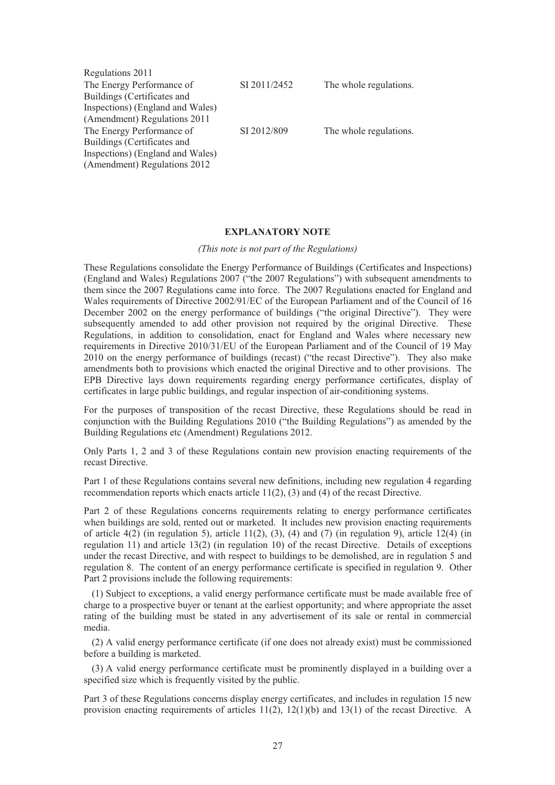| Regulations 2011                 |              |                        |
|----------------------------------|--------------|------------------------|
| The Energy Performance of        | SI 2011/2452 | The whole regulations. |
| Buildings (Certificates and      |              |                        |
| Inspections) (England and Wales) |              |                        |
| (Amendment) Regulations 2011     |              |                        |
| The Energy Performance of        | SI 2012/809  | The whole regulations. |
| Buildings (Certificates and      |              |                        |
| Inspections) (England and Wales) |              |                        |
| (Amendment) Regulations 2012     |              |                        |

### **EXPLANATORY NOTE**

#### *(This note is not part of the Regulations)*

These Regulations consolidate the Energy Performance of Buildings (Certificates and Inspections) (England and Wales) Regulations 2007 ("the 2007 Regulations") with subsequent amendments to them since the 2007 Regulations came into force. The 2007 Regulations enacted for England and Wales requirements of Directive 2002/91/EC of the European Parliament and of the Council of 16 December 2002 on the energy performance of buildings ("the original Directive"). They were subsequently amended to add other provision not required by the original Directive. These Regulations, in addition to consolidation, enact for England and Wales where necessary new requirements in Directive 2010/31/EU of the European Parliament and of the Council of 19 May 2010 on the energy performance of buildings (recast) ("the recast Directive"). They also make amendments both to provisions which enacted the original Directive and to other provisions. The EPB Directive lays down requirements regarding energy performance certificates, display of certificates in large public buildings, and regular inspection of air-conditioning systems.

For the purposes of transposition of the recast Directive, these Regulations should be read in conjunction with the Building Regulations 2010 ("the Building Regulations") as amended by the Building Regulations etc (Amendment) Regulations 2012.

Only Parts 1, 2 and 3 of these Regulations contain new provision enacting requirements of the recast Directive.

Part 1 of these Regulations contains several new definitions, including new regulation 4 regarding recommendation reports which enacts article  $11(2)$ , (3) and (4) of the recast Directive.

Part 2 of these Regulations concerns requirements relating to energy performance certificates when buildings are sold, rented out or marketed. It includes new provision enacting requirements of article  $4(2)$  (in regulation 5), article 11(2), (3), (4) and (7) (in regulation 9), article 12(4) (in regulation 11) and article 13(2) (in regulation 10) of the recast Directive. Details of exceptions under the recast Directive, and with respect to buildings to be demolished, are in regulation 5 and regulation 8. The content of an energy performance certificate is specified in regulation 9. Other Part 2 provisions include the following requirements:

(1) Subject to exceptions, a valid energy performance certificate must be made available free of charge to a prospective buyer or tenant at the earliest opportunity; and where appropriate the asset rating of the building must be stated in any advertisement of its sale or rental in commercial media.

(2) A valid energy performance certificate (if one does not already exist) must be commissioned before a building is marketed.

(3) A valid energy performance certificate must be prominently displayed in a building over a specified size which is frequently visited by the public.

Part 3 of these Regulations concerns display energy certificates, and includes in regulation 15 new provision enacting requirements of articles  $11(2)$ ,  $12(1)(b)$  and  $13(1)$  of the recast Directive. A